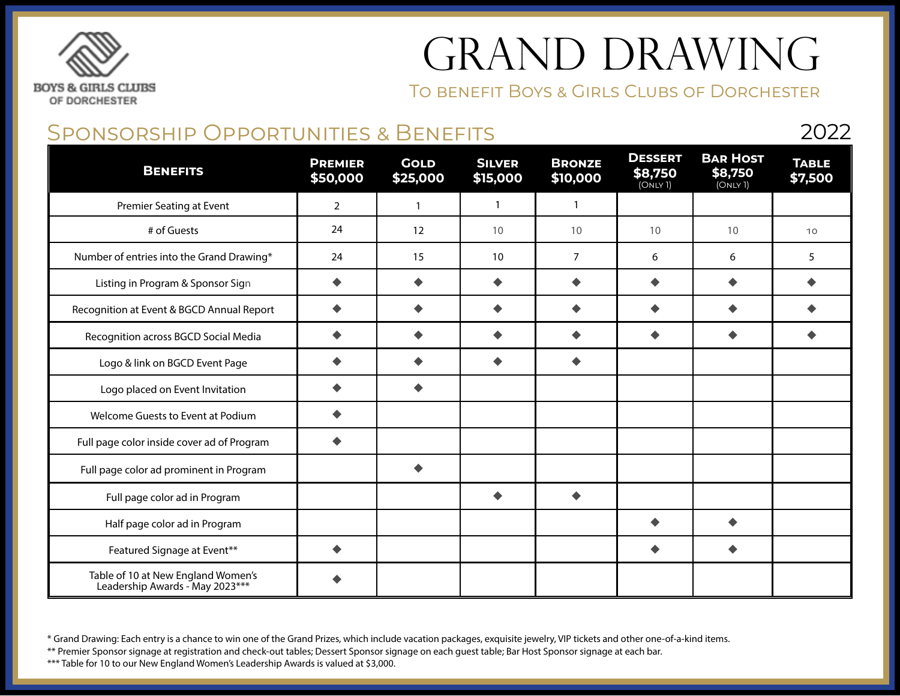### **BOYS & GIRLS CLUBS** OF DORCHESTER

# GRAND DRAWING

To benefit Boys & Girls Clubs of Dorchester

2022

#### Sponsorship Opportunities & Benefits

**Benefits Premier \$50,000 Gold \$25,000 Silver \$15,000 Bronze \$10,000 Dessert \$8,750**  $(ONLY 1)$ **Bar Host \$8,750** (Only 1) **Table \$7,500** Premier Seating at Event 1 2 1 1 1 1 1 1 # of Guests 24 12 10 10 10 10 10 Number of entries into the Grand Drawing\* 24 15 10 7 6 6 5 Listing in Program & Sponsor Sign | ◆ | ◆ | ◆ | ◆ | ◆ | ◆ Recognition at Event & BGCD Annual Report  $\begin{array}{|c|c|c|c|c|c|}\n\hline\n\end{array}$   $\begin{array}{c|c|c|c|c|c} \rightarrow & \begin{array}{c} \bullet & \bullet & \end{array} & \begin{array}{c} \bullet & \bullet & \end{array} & \begin{array}{c} \bullet & \bullet & \end{array} & \begin{array}{c} \bullet & \bullet & \end{array} & \begin{array}{c} \bullet & \bullet & \end{array} & \begin{array}{c} \bullet & \bullet & \end{array} & \begin{array}{c} \bullet & \bullet$ Recognition across BGCD Social Media  $\begin{array}{|c|c|c|c|c|c|}\n\hline\n\downarrow & \leftrightarrow & \downarrow & \leftrightarrow & \downarrow & \leftrightarrow & \downarrow & \leftrightarrow & \downarrow & \rightarrow & \downarrow & \rightarrow & \end{array}$ Logo & link on BGCD Event Page u u u u Logo placed on Event Invitation  $\begin{array}{ccc} \bullet \end{array}$   $\begin{array}{ccc} \bullet \end{array}$ Welcome Guests to Event at Podium  $\begin{array}{ccc} \bullet & \bullet \end{array}$ Full page color inside cover ad of Program  $\Box$ Full page color ad prominent in Program  $\Box$ Full page color ad in Program and the set of the set of the set of the set of the set of the set of the set of the set of the set of the set of the set of the set of the set of the set of the set of the set of the set of t Half page color ad in Program unit and the set of the set of the set of the set of the set of the set of the set of the set of the set of the set of the set of the set of the set of the set of the set of the set of the se Featured Signage at Event<sup>\*\*</sup> Product and the set of the set of the set of the set of the set of the set of the set of the set of the set of the set of the set of the set of the set of the set of the set of the set of the Table of 10 at New England Women's Leadership Awards - May 2023\*\*\*

\* Grand Drawing: Each entry is a chance to win one of the Grand Prizes, which include vacation packages, exquisite jewelry, VIP tickets and other one-of-a-kind items.

\*\* Premier Sponsor signage at registration and check-out tables; Dessert Sponsor signage on each guest table; Bar Host Sponsor signage at each bar.

\*\*\* Table for 10 to our New England Women's Leadership Awards is valued at \$3,000.